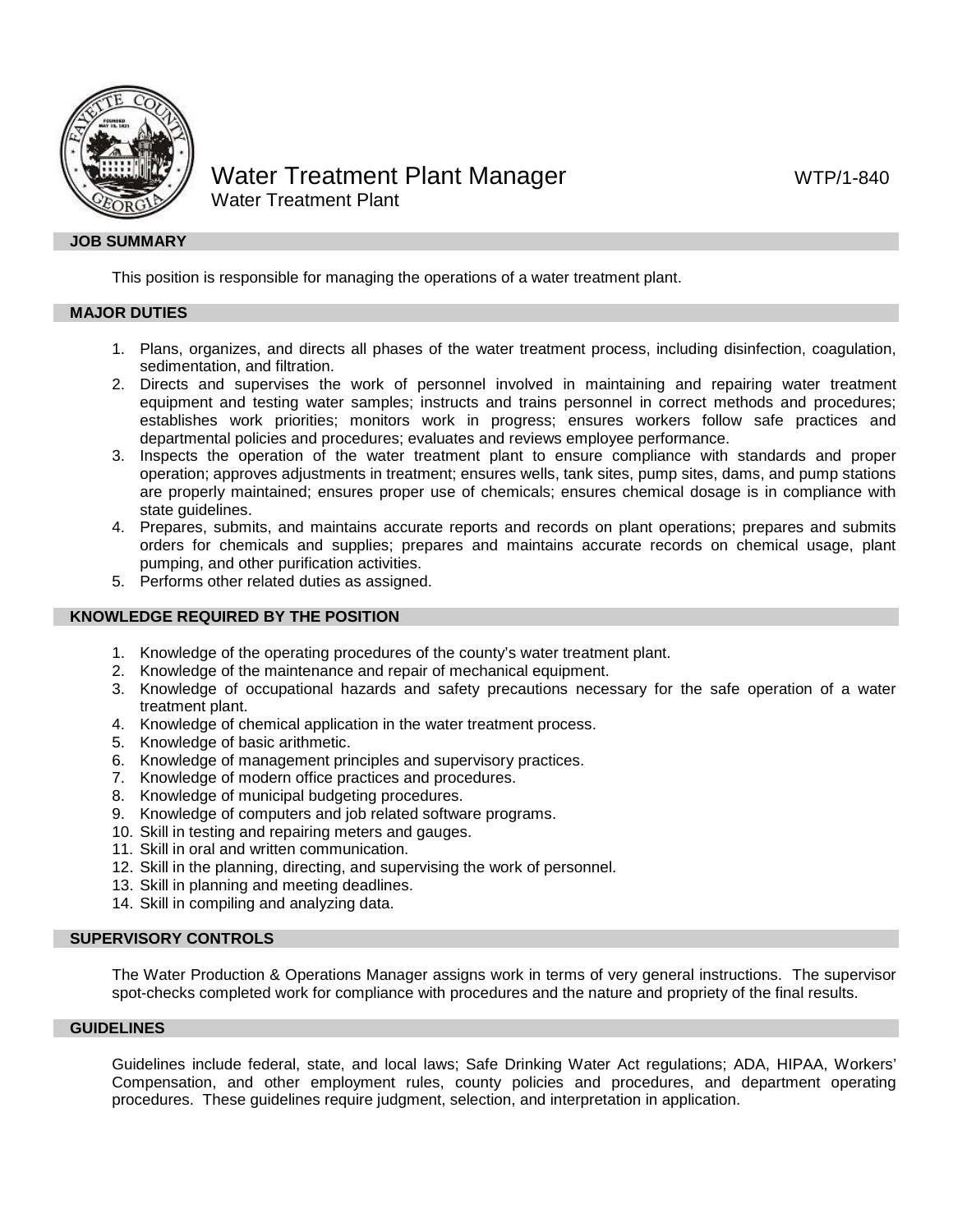

# Water Treatment Plant Manager WTP/1-840 Water Treatment Plant

# **JOB SUMMARY**

This position is responsible for managing the operations of a water treatment plant.

#### **MAJOR DUTIES**

- 1. Plans, organizes, and directs all phases of the water treatment process, including disinfection, coagulation, sedimentation, and filtration.
- 2. Directs and supervises the work of personnel involved in maintaining and repairing water treatment equipment and testing water samples; instructs and trains personnel in correct methods and procedures; establishes work priorities; monitors work in progress; ensures workers follow safe practices and departmental policies and procedures; evaluates and reviews employee performance.
- 3. Inspects the operation of the water treatment plant to ensure compliance with standards and proper operation; approves adjustments in treatment; ensures wells, tank sites, pump sites, dams, and pump stations are properly maintained; ensures proper use of chemicals; ensures chemical dosage is in compliance with state guidelines.
- 4. Prepares, submits, and maintains accurate reports and records on plant operations; prepares and submits orders for chemicals and supplies; prepares and maintains accurate records on chemical usage, plant pumping, and other purification activities.
- 5. Performs other related duties as assigned.

# **KNOWLEDGE REQUIRED BY THE POSITION**

- 1. Knowledge of the operating procedures of the county's water treatment plant.
- 2. Knowledge of the maintenance and repair of mechanical equipment.
- 3. Knowledge of occupational hazards and safety precautions necessary for the safe operation of a water treatment plant.
- 4. Knowledge of chemical application in the water treatment process.
- 5. Knowledge of basic arithmetic.
- 6. Knowledge of management principles and supervisory practices.
- 7. Knowledge of modern office practices and procedures.
- 8. Knowledge of municipal budgeting procedures.
- 9. Knowledge of computers and job related software programs.
- 10. Skill in testing and repairing meters and gauges.
- 11. Skill in oral and written communication.
- 12. Skill in the planning, directing, and supervising the work of personnel.
- 13. Skill in planning and meeting deadlines.
- 14. Skill in compiling and analyzing data.

#### **SUPERVISORY CONTROLS**

The Water Production & Operations Manager assigns work in terms of very general instructions. The supervisor spot-checks completed work for compliance with procedures and the nature and propriety of the final results.

## **GUIDELINES**

Guidelines include federal, state, and local laws; Safe Drinking Water Act regulations; ADA, HIPAA, Workers' Compensation, and other employment rules, county policies and procedures, and department operating procedures. These guidelines require judgment, selection, and interpretation in application.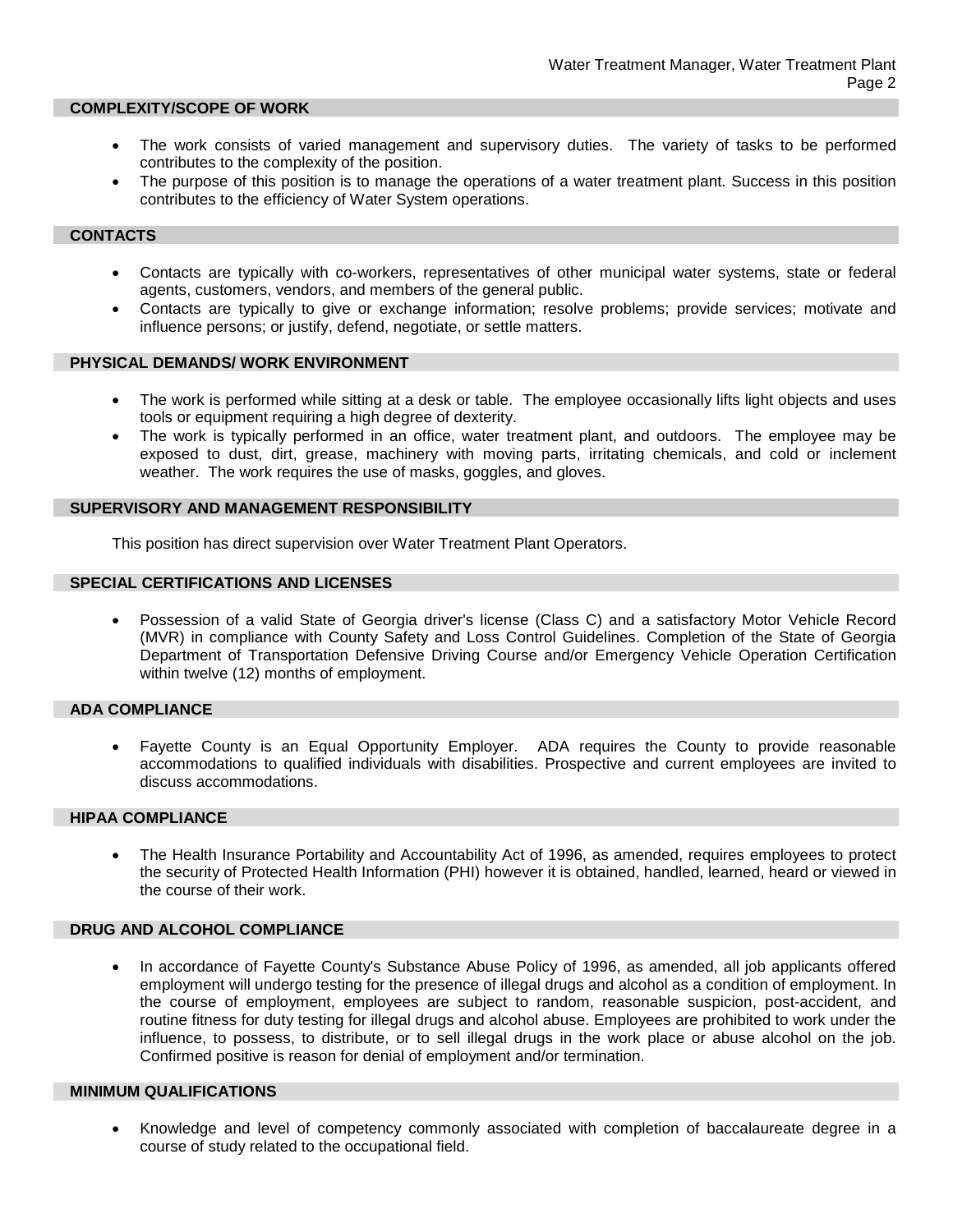#### **COMPLEXITY/SCOPE OF WORK**

- The work consists of varied management and supervisory duties. The variety of tasks to be performed contributes to the complexity of the position.
- The purpose of this position is to manage the operations of a water treatment plant. Success in this position contributes to the efficiency of Water System operations.

## **CONTACTS**

- Contacts are typically with co-workers, representatives of other municipal water systems, state or federal agents, customers, vendors, and members of the general public.
- Contacts are typically to give or exchange information; resolve problems; provide services; motivate and influence persons; or justify, defend, negotiate, or settle matters.

## **PHYSICAL DEMANDS/ WORK ENVIRONMENT**

- The work is performed while sitting at a desk or table. The employee occasionally lifts light objects and uses tools or equipment requiring a high degree of dexterity.
- The work is typically performed in an office, water treatment plant, and outdoors. The employee may be exposed to dust, dirt, grease, machinery with moving parts, irritating chemicals, and cold or inclement weather. The work requires the use of masks, goggles, and gloves.

#### **SUPERVISORY AND MANAGEMENT RESPONSIBILITY**

This position has direct supervision over Water Treatment Plant Operators.

# **SPECIAL CERTIFICATIONS AND LICENSES**

• Possession of a valid State of Georgia driver's license (Class C) and a satisfactory Motor Vehicle Record (MVR) in compliance with County Safety and Loss Control Guidelines. Completion of the State of Georgia Department of Transportation Defensive Driving Course and/or Emergency Vehicle Operation Certification within twelve (12) months of employment.

# **ADA COMPLIANCE**

• Fayette County is an Equal Opportunity Employer. ADA requires the County to provide reasonable accommodations to qualified individuals with disabilities. Prospective and current employees are invited to discuss accommodations.

#### **HIPAA COMPLIANCE**

• The Health Insurance Portability and Accountability Act of 1996, as amended, requires employees to protect the security of Protected Health Information (PHI) however it is obtained, handled, learned, heard or viewed in the course of their work.

## **DRUG AND ALCOHOL COMPLIANCE**

• In accordance of Fayette County's Substance Abuse Policy of 1996, as amended, all job applicants offered employment will undergo testing for the presence of illegal drugs and alcohol as a condition of employment. In the course of employment, employees are subject to random, reasonable suspicion, post-accident, and routine fitness for duty testing for illegal drugs and alcohol abuse. Employees are prohibited to work under the influence, to possess, to distribute, or to sell illegal drugs in the work place or abuse alcohol on the job. Confirmed positive is reason for denial of employment and/or termination.

## **MINIMUM QUALIFICATIONS**

• Knowledge and level of competency commonly associated with completion of baccalaureate degree in a course of study related to the occupational field.